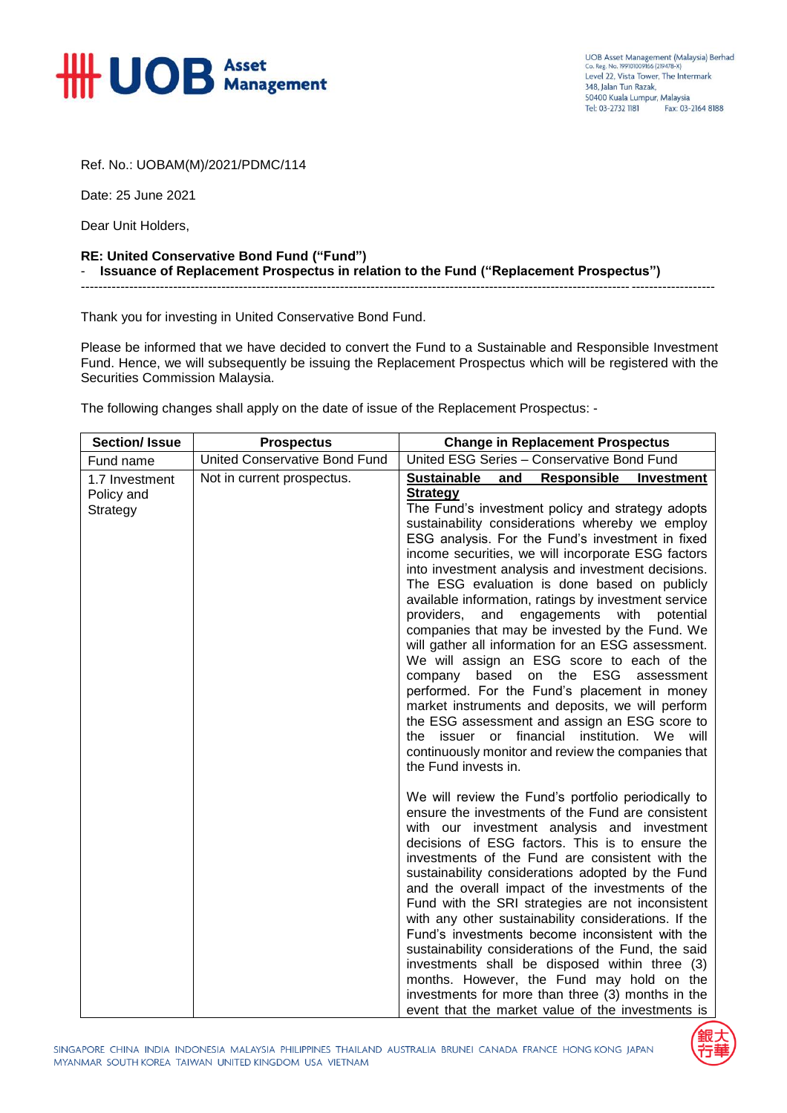

Ref. No.: UOBAM(M)/2021/PDMC/114

Date: 25 June 2021

Dear Unit Holders,

## **RE: United Conservative Bond Fund ("Fund")** - **Issuance of Replacement Prospectus in relation to the Fund ("Replacement Prospectus")**

Thank you for investing in United Conservative Bond Fund.

Please be informed that we have decided to convert the Fund to a Sustainable and Responsible Investment Fund. Hence, we will subsequently be issuing the Replacement Prospectus which will be registered with the Securities Commission Malaysia.

------------------------------------------------------------------------------------------------------------------------------------------------

The following changes shall apply on the date of issue of the Replacement Prospectus: -

| <b>Section/Issue</b>                     | <b>Prospectus</b>                    | <b>Change in Replacement Prospectus</b>                                                                                                                                                                                                                                                                                                                                                                                                                                                                                                                                                                                                                                                                                                                                                                                                                                                                                                                                   |
|------------------------------------------|--------------------------------------|---------------------------------------------------------------------------------------------------------------------------------------------------------------------------------------------------------------------------------------------------------------------------------------------------------------------------------------------------------------------------------------------------------------------------------------------------------------------------------------------------------------------------------------------------------------------------------------------------------------------------------------------------------------------------------------------------------------------------------------------------------------------------------------------------------------------------------------------------------------------------------------------------------------------------------------------------------------------------|
| Fund name                                | <b>United Conservative Bond Fund</b> | United ESG Series - Conservative Bond Fund                                                                                                                                                                                                                                                                                                                                                                                                                                                                                                                                                                                                                                                                                                                                                                                                                                                                                                                                |
| 1.7 Investment<br>Policy and<br>Strategy | Not in current prospectus.           | <b>Sustainable</b><br>Responsible<br>Investment<br>and<br><b>Strategy</b><br>The Fund's investment policy and strategy adopts<br>sustainability considerations whereby we employ<br>ESG analysis. For the Fund's investment in fixed<br>income securities, we will incorporate ESG factors<br>into investment analysis and investment decisions.<br>The ESG evaluation is done based on publicly<br>available information, ratings by investment service<br>providers,<br>and<br>engagements with<br>potential<br>companies that may be invested by the Fund. We<br>will gather all information for an ESG assessment.<br>We will assign an ESG score to each of the<br>company based on the ESG<br>assessment<br>performed. For the Fund's placement in money<br>market instruments and deposits, we will perform<br>the ESG assessment and assign an ESG score to<br>the issuer or financial institution. We will<br>continuously monitor and review the companies that |
|                                          |                                      | the Fund invests in.<br>We will review the Fund's portfolio periodically to<br>ensure the investments of the Fund are consistent<br>with our investment analysis and investment<br>decisions of ESG factors. This is to ensure the<br>investments of the Fund are consistent with the<br>sustainability considerations adopted by the Fund<br>and the overall impact of the investments of the<br>Fund with the SRI strategies are not inconsistent<br>with any other sustainability considerations. If the<br>Fund's investments become inconsistent with the<br>sustainability considerations of the Fund, the said<br>investments shall be disposed within three (3)<br>months. However, the Fund may hold on the<br>investments for more than three (3) months in the<br>event that the market value of the investments is                                                                                                                                            |